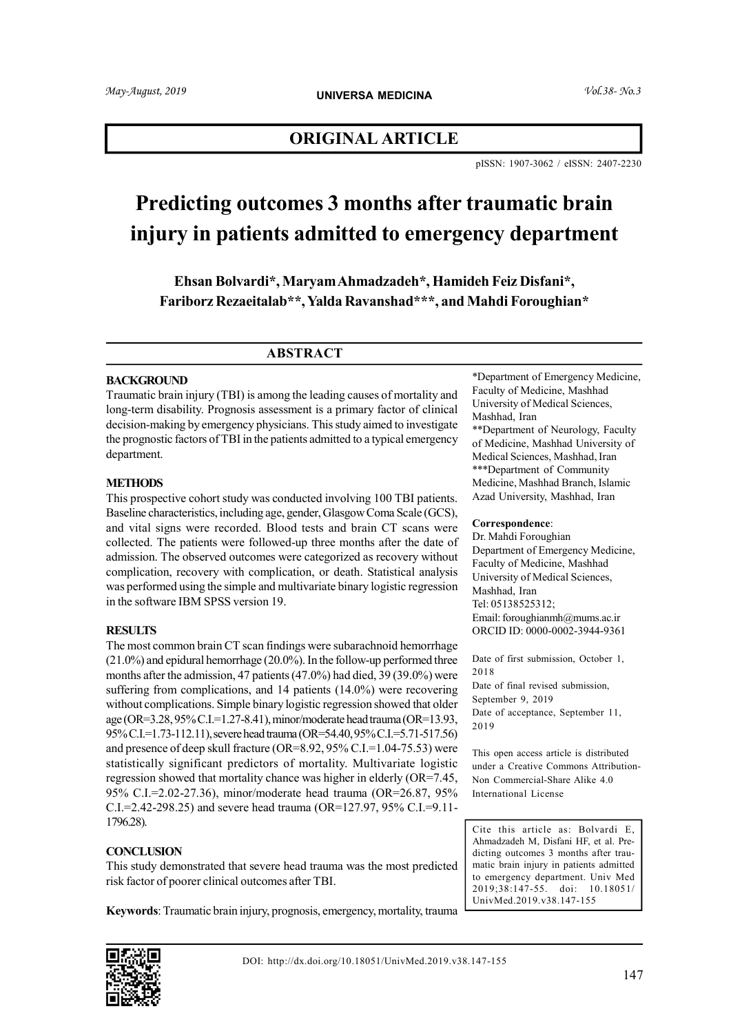## ORIGINAL ARTICLE

pISSN: 1907-3062 / eISSN: 2407-2230

# Predicting outcomes 3 months after traumatic brain injury in patients admitted to emergency department

Ehsan Bolvardi\*, Maryam Ahmadzadeh\*, Hamideh Feiz Disfani\*, Fariborz Rezaeitalab\*\*, Yalda Ravanshad\*\*\*, and Mahdi Foroughian\*

#### ABSTRACT

#### BACKGROUND

Traumatic brain injury (TBI) is among the leading causes of mortality and long-term disability. Prognosis assessment is a primary factor of clinical decision-making by emergency physicians. This study aimed to investigate the prognostic factors of TBI in the patients admitted to a typical emergency department.

#### **METHODS**

This prospective cohort study was conducted involving 100 TBI patients. Baseline characteristics, including age, gender, Glasgow Coma Scale (GCS), and vital signs were recorded. Blood tests and brain CT scans were collected. The patients were followed-up three months after the date of admission. The observed outcomes were categorized as recovery without complication, recovery with complication, or death. Statistical analysis was performed using the simple and multivariate binary logistic regression in the software IBM SPSS version 19.

#### **RESULTS**

The most common brain CT scan findings were subarachnoid hemorrhage (21.0%) and epidural hemorrhage (20.0%). In the follow-up performed three months after the admission, 47 patients (47.0%) had died, 39 (39.0%) were suffering from complications, and 14 patients (14.0%) were recovering without complications. Simple binary logistic regression showed that older age (OR=3.28, 95% C.I.=1.27-8.41), minor/moderate head trauma (OR=13.93, 95% C.I.=1.73-112.11), severe head trauma (OR=54.40, 95% C.I.=5.71-517.56) and presence of deep skull fracture (OR=8.92, 95% C.I.=1.04-75.53) were statistically significant predictors of mortality. Multivariate logistic regression showed that mortality chance was higher in elderly (OR=7.45, 95% C.I.=2.02-27.36), minor/moderate head trauma (OR=26.87, 95% C.I.=2.42-298.25) and severe head trauma (OR=127.97, 95% C.I.=9.11- 1796.28).

#### **CONCLUSION**

This study demonstrated that severe head trauma was the most predicted risk factor of poorer clinical outcomes after TBI.

\*Department of Emergency Medicine, Faculty of Medicine, Mashhad University of Medical Sciences, Mashhad, Iran \*\*Department of Neurology, Faculty of Medicine, Mashhad University of Medical Sciences, Mashhad, Iran \*\*\*Department of Community Medicine, Mashhad Branch, Islamic Azad University, Mashhad, Iran

#### Correspondence:

Dr. Mahdi Foroughian Department of Emergency Medicine, Faculty of Medicine, Mashhad University of Medical Sciences, Mashhad, Iran Tel: 05138525312; Email: foroughianmh@mums.ac.ir ORCID ID: 0000-0002-3944-9361

Date of first submission, October 1, 2018 Date of final revised submission, September 9, 2019 Date of acceptance, September 11, 2019

This open access article is distributed under a Creative Commons Attribution-Non Commercial-Share Alike 4.0 International License

Cite this article as: Bolvardi E, Ahmadzadeh M, Disfani HF, et al. Predicting outcomes 3 months after traumatic brain injury in patients admitted to emergency department. Univ Med 2019;38:147-55. doi: 10.18051/ UnivMed.2019.v38.147-155

Keywords: Traumatic brain injury, prognosis, emergency, mortality, trauma

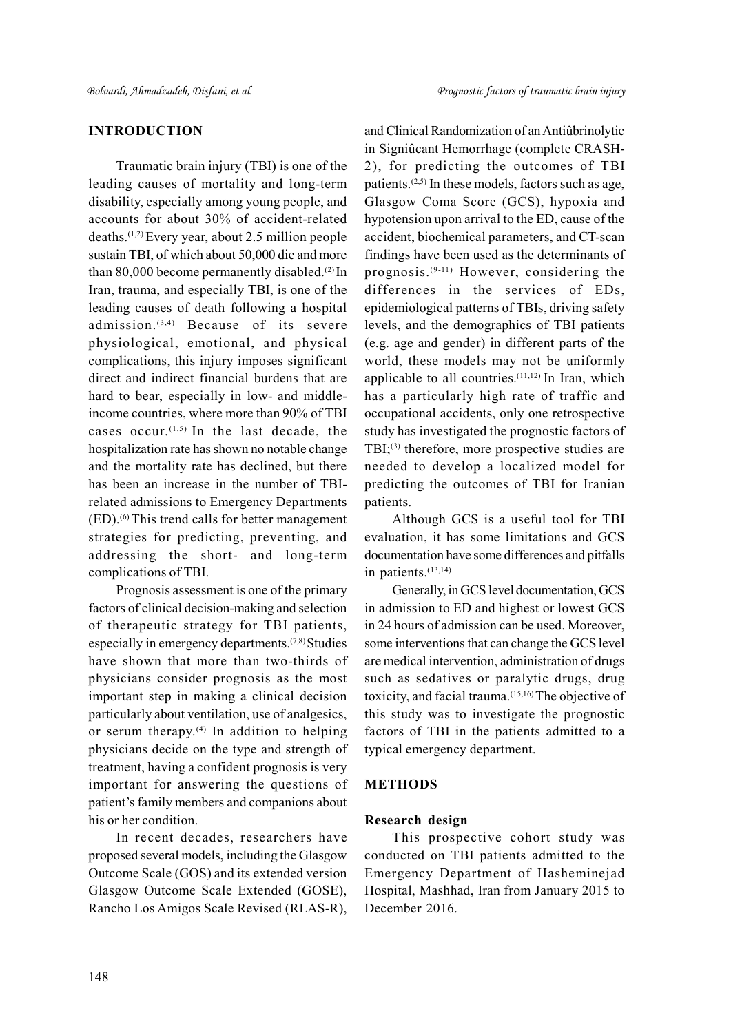## INTRODUCTION

Traumatic brain injury (TBI) is one of the leading causes of mortality and long-term disability, especially among young people, and accounts for about 30% of accident-related deaths.(1,2) Every year, about 2.5 million people sustain TBI, of which about 50,000 die and more than 80,000 become permanently disabled.<sup>(2)</sup> In Iran, trauma, and especially TBI, is one of the leading causes of death following a hospital admission. $(3,4)$  Because of its severe physiological, emotional, and physical complications, this injury imposes significant direct and indirect financial burdens that are hard to bear, especially in low- and middleincome countries, where more than 90% of TBI cases occur. $(1,5)$  In the last decade, the hospitalization rate has shown no notable change and the mortality rate has declined, but there has been an increase in the number of TBIrelated admissions to Emergency Departments (ED).(6) This trend calls for better management strategies for predicting, preventing, and addressing the short- and long-term complications of TBI.

Prognosis assessment is one of the primary factors of clinical decision-making and selection of therapeutic strategy for TBI patients, especially in emergency departments.(7,8) Studies have shown that more than two-thirds of physicians consider prognosis as the most important step in making a clinical decision particularly about ventilation, use of analgesics, or serum therapy. $(4)$  In addition to helping physicians decide on the type and strength of treatment, having a confident prognosis is very important for answering the questions of patient's family members and companions about his or her condition.

In recent decades, researchers have proposed several models, including the Glasgow Outcome Scale (GOS) and its extended version Glasgow Outcome Scale Extended (GOSE), Rancho Los Amigos Scale Revised (RLAS-R),

and Clinical Randomization of an Antiûbrinolytic in Signiûcant Hemorrhage (complete CRASH-2), for predicting the outcomes of TBI patients.<sup> $(2,5)$ </sup> In these models, factors such as age, Glasgow Coma Score (GCS), hypoxia and hypotension upon arrival to the ED, cause of the accident, biochemical parameters, and CT-scan findings have been used as the determinants of prognosis.(9-11) However, considering the differences in the services of EDs, epidemiological patterns of TBIs, driving safety levels, and the demographics of TBI patients (e.g. age and gender) in different parts of the world, these models may not be uniformly applicable to all countries. $(11,12)$  In Iran, which has a particularly high rate of traffic and occupational accidents, only one retrospective study has investigated the prognostic factors of TBI; $(3)$  therefore, more prospective studies are needed to develop a localized model for predicting the outcomes of TBI for Iranian patients.

Although GCS is a useful tool for TBI evaluation, it has some limitations and GCS documentation have some differences and pitfalls in patients.<sup>(13,14)</sup>

Generally, in GCS level documentation, GCS in admission to ED and highest or lowest GCS in 24 hours of admission can be used. Moreover, some interventions that can change the GCS level are medical intervention, administration of drugs such as sedatives or paralytic drugs, drug toxicity, and facial trauma.(15,16) The objective of this study was to investigate the prognostic factors of TBI in the patients admitted to a typical emergency department.

#### METHODS

#### Research design

This prospective cohort study was conducted on TBI patients admitted to the Emergency Department of Hasheminejad Hospital, Mashhad, Iran from January 2015 to December 2016.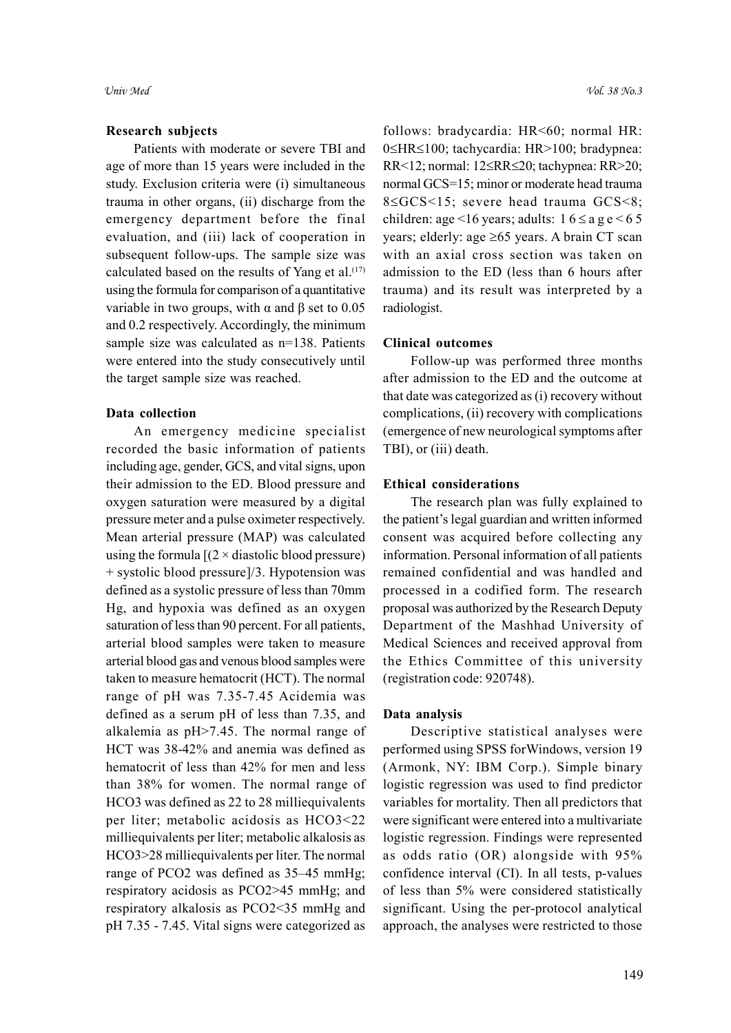#### Research subjects

Patients with moderate or severe TBI and age of more than 15 years were included in the study. Exclusion criteria were (i) simultaneous trauma in other organs, (ii) discharge from the emergency department before the final evaluation, and (iii) lack of cooperation in subsequent follow-ups. The sample size was calculated based on the results of Yang et al. $(17)$ using the formula for comparison of a quantitative variable in two groups, with α and β set to 0.05 and 0.2 respectively. Accordingly, the minimum sample size was calculated as n=138. Patients were entered into the study consecutively until the target sample size was reached.

## Data collection

An emergency medicine specialist recorded the basic information of patients including age, gender, GCS, and vital signs, upon their admission to the ED. Blood pressure and oxygen saturation were measured by a digital pressure meter and a pulse oximeter respectively. Mean arterial pressure (MAP) was calculated using the formula  $[(2 \times \text{diastolic blood pressure})]$ + systolic blood pressure]/3. Hypotension was defined as a systolic pressure of less than 70mm Hg, and hypoxia was defined as an oxygen saturation of less than 90 percent. For all patients, arterial blood samples were taken to measure arterial blood gas and venous blood samples were taken to measure hematocrit (HCT). The normal range of pH was 7.35-7.45 Acidemia was defined as a serum pH of less than 7.35, and alkalemia as pH>7.45. The normal range of HCT was 38-42% and anemia was defined as hematocrit of less than 42% for men and less than 38% for women. The normal range of HCO3 was defined as 22 to 28 milliequivalents per liter; metabolic acidosis as HCO3<22 milliequivalents per liter; metabolic alkalosis as HCO3>28 milliequivalents per liter. The normal range of PCO2 was defined as 35–45 mmHg; respiratory acidosis as PCO2>45 mmHg; and respiratory alkalosis as PCO2<35 mmHg and pH 7.35 - 7.45. Vital signs were categorized as

follows: bradycardia: HR<60; normal HR: 0≤HR≤100; tachycardia: HR>100; bradypnea: RR<12; normal: 12 \le RR \le 20; tachypnea: RR \le 20; normal GCS=15; minor or moderate head trauma 8 SGCS < 15; severe head trauma GCS < 8; children: age <16 years; adults:  $16 \le a \le e \le 65$ years; elderly: age  $\geq 65$  years. A brain CT scan with an axial cross section was taken on admission to the ED (less than 6 hours after trauma) and its result was interpreted by a radiologist.

#### Clinical outcomes

Follow-up was performed three months after admission to the ED and the outcome at that date was categorized as (i) recovery without complications, (ii) recovery with complications (emergence of new neurological symptoms after TBI), or (iii) death.

#### Ethical considerations

The research plan was fully explained to the patient's legal guardian and written informed consent was acquired before collecting any information. Personal information of all patients remained confidential and was handled and processed in a codified form. The research proposal was authorized by the Research Deputy Department of the Mashhad University of Medical Sciences and received approval from the Ethics Committee of this university (registration code: 920748).

#### Data analysis

Descriptive statistical analyses were performed using SPSS forWindows, version 19 (Armonk, NY: IBM Corp.). Simple binary logistic regression was used to find predictor variables for mortality. Then all predictors that were significant were entered into a multivariate logistic regression. Findings were represented as odds ratio (OR) alongside with 95% confidence interval (CI). In all tests, p-values of less than 5% were considered statistically significant. Using the per-protocol analytical approach, the analyses were restricted to those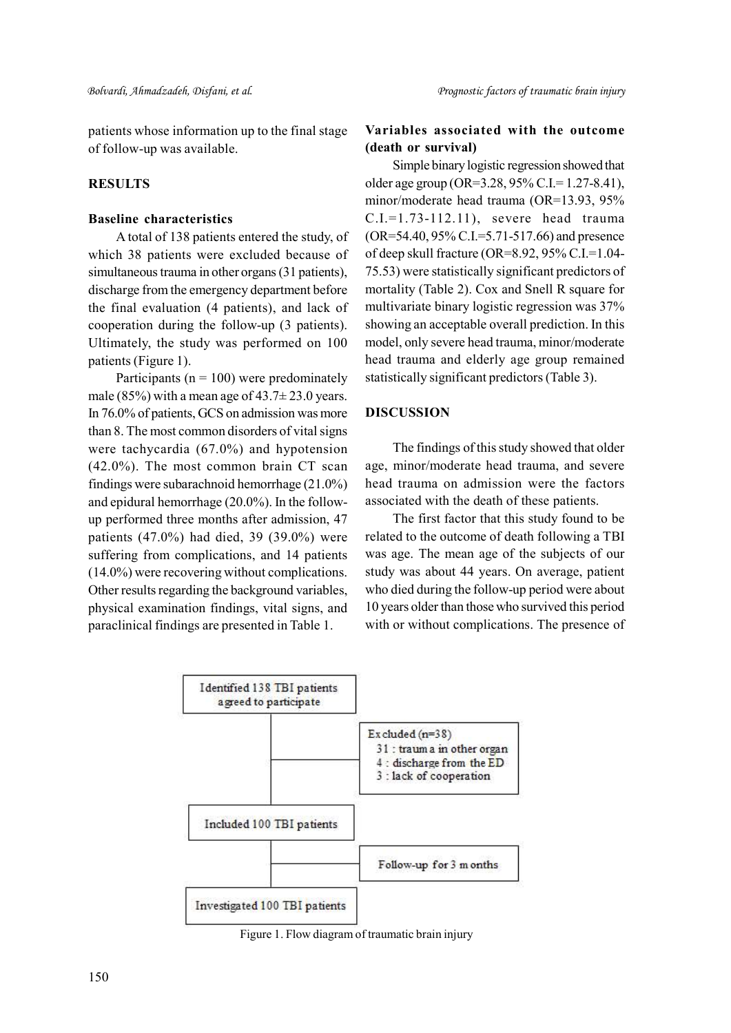patients whose information up to the final stage of follow-up was available.

## **RESULTS**

#### Baseline characteristics

A total of 138 patients entered the study, of which 38 patients were excluded because of simultaneous trauma in other organs (31 patients), discharge from the emergency department before the final evaluation (4 patients), and lack of cooperation during the follow-up (3 patients). Ultimately, the study was performed on 100 patients (Figure 1).

Participants ( $n = 100$ ) were predominately male (85%) with a mean age of  $43.7 \pm 23.0$  years. In 76.0% of patients, GCS on admission was more than 8. The most common disorders of vital signs were tachycardia (67.0%) and hypotension (42.0%). The most common brain CT scan findings were subarachnoid hemorrhage (21.0%) and epidural hemorrhage (20.0%). In the followup performed three months after admission, 47 patients (47.0%) had died, 39 (39.0%) were suffering from complications, and 14 patients (14.0%) were recovering without complications. Other results regarding the background variables, physical examination findings, vital signs, and paraclinical findings are presented in Table 1.

## Variables associated with the outcome (death or survival)

Simple binary logistic regression showed that older age group (OR=3.28, 95% C.I.= 1.27-8.41), minor/moderate head trauma (OR=13.93, 95% C.I.=1.73-112.11), severe head trauma (OR=54.40, 95% C.I.=5.71-517.66) and presence of deep skull fracture (OR=8.92, 95% C.I.=1.04- 75.53) were statistically significant predictors of mortality (Table 2). Cox and Snell R square for multivariate binary logistic regression was 37% showing an acceptable overall prediction. In this model, only severe head trauma, minor/moderate head trauma and elderly age group remained statistically significant predictors (Table 3).

## DISCUSSION

The findings of this study showed that older age, minor/moderate head trauma, and severe head trauma on admission were the factors associated with the death of these patients.

The first factor that this study found to be related to the outcome of death following a TBI was age. The mean age of the subjects of our study was about 44 years. On average, patient who died during the follow-up period were about 10 years older than those who survived this period with or without complications. The presence of



Figure 1. Flow diagram of traumatic brain injury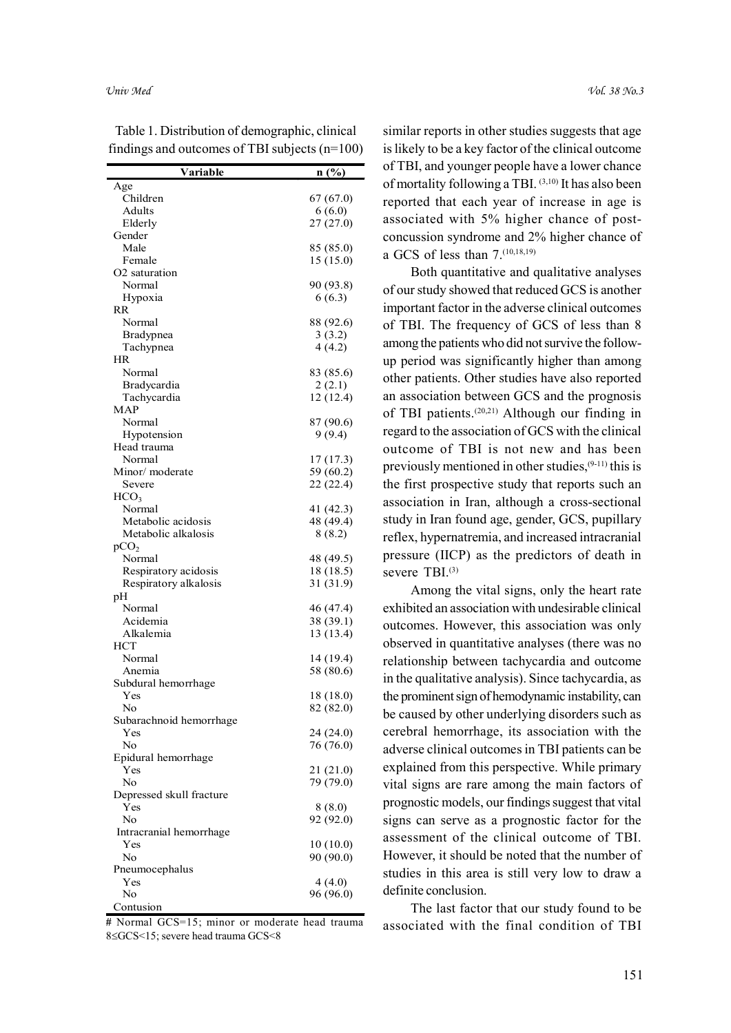| Variable                        | n(%)                  | of TBI, and y  |
|---------------------------------|-----------------------|----------------|
| Age                             |                       | of mortality f |
| Children                        | 67 (67.0)             | reported tha   |
| Adults                          | 6(6.0)                |                |
| Elderly                         | 27(27.0)              | associated v   |
| Gender                          |                       | concussion s   |
| Male                            | 85 (85.0)             | a GCS of les   |
| Female                          | 15(15.0)              |                |
| O <sub>2</sub> saturation       |                       | Both qu        |
| Normal                          | 90 (93.8)             | of our study s |
| Hypoxia<br>RR                   | 6(6.3)                | important fac  |
| Normal                          | 88 (92.6)             | of TBI. The    |
| Bradypnea                       | 3(3.2)                |                |
| Tachypnea                       | 4 (4.2)               | among the pat  |
| HR                              |                       | up period wa   |
| Normal                          | 83 (85.6)             | other patient  |
| <b>Bradycardia</b>              | 2(2.1)                |                |
| Tachycardia                     | 12(12.4)              | an associatio  |
| MAP                             |                       | of TBI patie   |
| Normal                          | 87 (90.6)             | regard to the  |
| Hypotension                     | 9(9.4)                |                |
| Head trauma                     |                       | outcome of     |
| Normal<br>Minor/moderate        | 17(17.3)<br>59 (60.2) | previously m   |
| Severe                          | 22 (22.4)             | the first pros |
| HCO <sub>3</sub>                |                       |                |
| Normal                          | 41 (42.3)             | association i  |
| Metabolic acidosis              | 48 (49.4)             | study in Iran  |
| Metabolic alkalosis             | 8(8.2)                | reflex, hyperi |
| pCO <sub>2</sub>                |                       |                |
| Normal                          | 48 (49.5)             | pressure (II   |
| Respiratory acidosis            | 18 (18.5)             | severe TBI.    |
| Respiratory alkalosis           | 31 (31.9)             | Among          |
| pН                              |                       |                |
| Normal                          | 46 (47.4)             | exhibited an a |
| Acidemia<br>Alkalemia           | 38 (39.1)             | outcomes. H    |
| HCT                             | 13 (13.4)             | observed in    |
| Normal                          | 14 (19.4)             |                |
| Anemia                          | 58 (80.6)             | relationship   |
| Subdural hemorrhage             |                       | in the qualita |
| Yes                             | 18 (18.0)             | the prominent  |
| No                              | 82 (82.0)             | be caused by   |
| Subarachnoid hemorrhage         |                       |                |
| Yes                             | 24 (24.0)             | cerebral hen   |
| No                              | 76 (76.0)             | adverse clini  |
| Epidural hemorrhage             |                       | explained fro  |
| Yes                             | 21 (21.0)             |                |
| No                              | 79 (79.0)             | vital signs a  |
| Depressed skull fracture<br>Yes |                       | prognostic m   |
| No                              | 8(8.0)<br>92 (92.0)   | signs can se   |
| Intracranial hemorrhage         |                       |                |
| Yes                             | 10(10.0)              | assessment     |
| No                              | 90 (90.0)             | However, it s  |
| Pneumocephalus                  |                       | studies in th  |
| Yes                             | 4(4.0)                |                |
| No                              | 96 (96.0)             | definite concl |
| Contusion                       |                       | The las        |

Table 1. Distribution of demographic, clinical findings and outcomes of TBI subjects (n=100)

# Normal GCS=15; minor or moderate head trauma 8GCS<15; severe head trauma GCS<8

similar reports in other studies suggests that age is likely to be a key factor of the clinical outcome Variable  $\overline{\mathbf{n}(\%)}$  of TBI, and younger people have a lower chance of mortality following a TBI. (3,10) It has also been  $r^{67}(67.0)$  reported that each year of increase in age is  $\frac{6(6.0)}{7(27.0)}$  associated with 5% higher chance of postconcussion syndrome and 2% higher chance of  $\frac{85 (85.0)}{15 (15.0)}$  a GCS of less than 7.<sup>(10,18,19)</sup>  $27 (27.0)$  associated v

> Both quantitative and qualitative analyses of our study showed that reduced GCS is another 90 (93.8) important factor in the adverse clinical outcomes  $88 (92.6)$  of TBI. The frequency of GCS of less than 8  $\begin{array}{c} 3 \times 3.2 \\ 4 \times 4.2 \end{array}$  among the patients who did not survive the followup period was significantly higher than among  $\frac{83}{(85.6)}$  other patients. Other studies have also reported an association between GCS and the prognosis 12 (12.4) of TBI patients.<sup> $(20,21)$ </sup> Although our finding in  $\frac{87 (90.6)}{9 (9.4)}$  regard to the association of GCS with the clinical outcome of TBI is not new and has been  $\frac{17(17.3)}{59(60.2)}$  previously mentioned in other studies, <sup>(9-11)</sup> this is  $22(22.4)$  the first prospective study that reports such an association in Iran, although a cross-sectional 41 (42.3) study in Iran found age, gender, GCS, pupillary 48 (49.4) reflex, hypernatremia, and increased intracranial 8 (8.2) 48 (49.5) pressure (IICP) as the predictors of death in 18 (18.5) severe TBI.<sup>(3)</sup>  $6(6.3)$   $0.041$  study  $4(4.2)$  among the p  $2(2.1)$  Other patients  $9(9.4)$  regard to the  $59(60.2)$  previously in

> Among the vital signs, only the heart rate 31 (31.9) exhibited an association with undesirable clinical 46 (47.4)  $38(39.1)$  outcomes. However, this association was only observed in quantitative analyses (there was no relationship between tachycardia and outcome 14 (19.4) 58 (80.6) in the qualitative analysis). Since tachycardia, as 18 (18.0) the prominent sign of hemodynamic instability, can  $b^2$  (82.0) be caused by other underlying disorders such as 24 (24.0) cerebral hemorrhage, its association with the adverse clinical outcomes in TBI patients can be 76 (76.0)  $21(21.0)$  explained from this perspective. While primary  $79(79.0)$  vital signs are rare among the main factors of prognostic models, our findings suggest that vital 8 (8.0) 92 (92.0) signs can serve as a prognostic factor for the assessment of the clinical outcome of TBI. 10 (10.0) However, it should be noted that the number of 90 (90.0) studies in this area is still very low to draw a  $\begin{array}{c} 4(4.0) \\ 6(96.0) \end{array}$  definite conclusion. 13 (13.4) **Calculies**. 11

> > The last factor that our study found to be associated with the final condition of TBI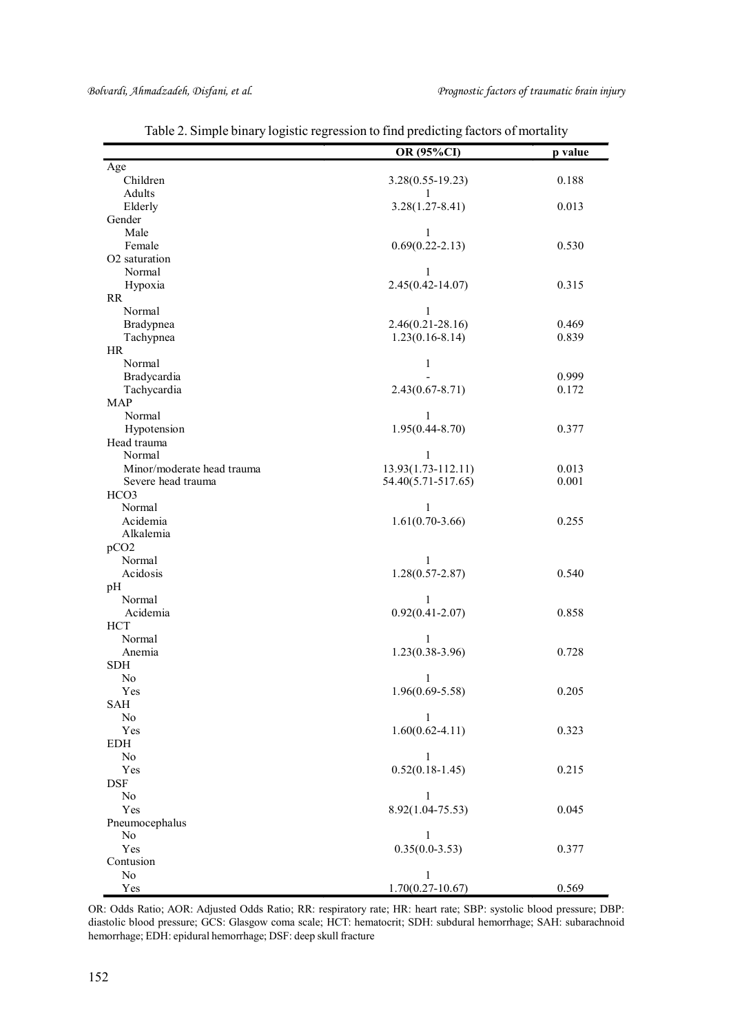|                            | OR (95%CI)             | p value |
|----------------------------|------------------------|---------|
| Age                        |                        |         |
| Children                   | $3.28(0.55 - 19.23)$   | 0.188   |
| Adults                     | 1                      |         |
| Elderly                    | $3.28(1.27 - 8.41)$    | 0.013   |
| Gender                     |                        |         |
| Male                       | 1                      |         |
| Female                     | $0.69(0.22 - 2.13)$    | 0.530   |
| O2 saturation              |                        |         |
| Normal                     | 1                      |         |
| Hypoxia                    | $2.45(0.42 - 14.07)$   | 0.315   |
| RR                         |                        |         |
| Normal                     | 1                      |         |
| Bradypnea                  | $2.46(0.21 - 28.16)$   | 0.469   |
| Tachypnea                  | $1.23(0.16-8.14)$      | 0.839   |
| HR                         |                        |         |
| Normal                     | 1                      |         |
| Bradycardia                |                        | 0.999   |
| Tachycardia                | $2.43(0.67 - 8.71)$    | 0.172   |
| <b>MAP</b>                 |                        |         |
| Normal                     | 1                      |         |
| Hypotension                | $1.95(0.44 - 8.70)$    | 0.377   |
| Head trauma                |                        |         |
| Normal                     | 1                      |         |
| Minor/moderate head trauma | $13.93(1.73 - 112.11)$ | 0.013   |
| Severe head trauma         | 54.40(5.71-517.65)     | 0.001   |
| HCO3                       |                        |         |
| Normal                     | 1                      |         |
| Acidemia                   | $1.61(0.70-3.66)$      | 0.255   |
| Alkalemia                  |                        |         |
| pCO <sub>2</sub>           |                        |         |
| Normal                     | $\mathbf{1}$           |         |
| Acidosis                   | $1.28(0.57 - 2.87)$    | 0.540   |
| pH                         |                        |         |
| Normal                     | 1                      |         |
| Acidemia                   | $0.92(0.41 - 2.07)$    | 0.858   |
| HCT                        |                        |         |
|                            |                        |         |
| Normal                     | 1                      |         |
| Anemia                     | $1.23(0.38-3.96)$      | 0.728   |
| <b>SDH</b>                 |                        |         |
| No                         | 1                      |         |
| Yes                        | $1.96(0.69 - 5.58)$    | 0.205   |
| SAH                        |                        |         |
| $\rm No$                   | $\mathbf{1}$           |         |
| Yes                        | $1.60(0.62 - 4.11)$    | 0.323   |
| EDH                        |                        |         |
| No                         | $\mathbf{1}$           |         |
| Yes                        | $0.52(0.18-1.45)$      | 0.215   |
| <b>DSF</b>                 |                        |         |
| No                         | $\mathbf{1}$           |         |
| Yes                        | 8.92(1.04-75.53)       | 0.045   |
| Pneumocephalus             |                        |         |
| No                         | $\mathbf{1}$           |         |
| Yes                        | $0.35(0.0-3.53)$       | 0.377   |
| Contusion                  |                        |         |
| No                         | $\mathbf{1}$           |         |
| Yes                        | $1.70(0.27 - 10.67)$   | 0.569   |

Table 2. Simple binary logistic regression to find predicting factors of mortality

OR: Odds Ratio; AOR: Adjusted Odds Ratio; RR: respiratory rate; HR: heart rate; SBP: systolic blood pressure; DBP: diastolic blood pressure; GCS: Glasgow coma scale; HCT: hematocrit; SDH: subdural hemorrhage; SAH: subarachnoid hemorrhage; EDH: epidural hemorrhage; DSF: deep skull fracture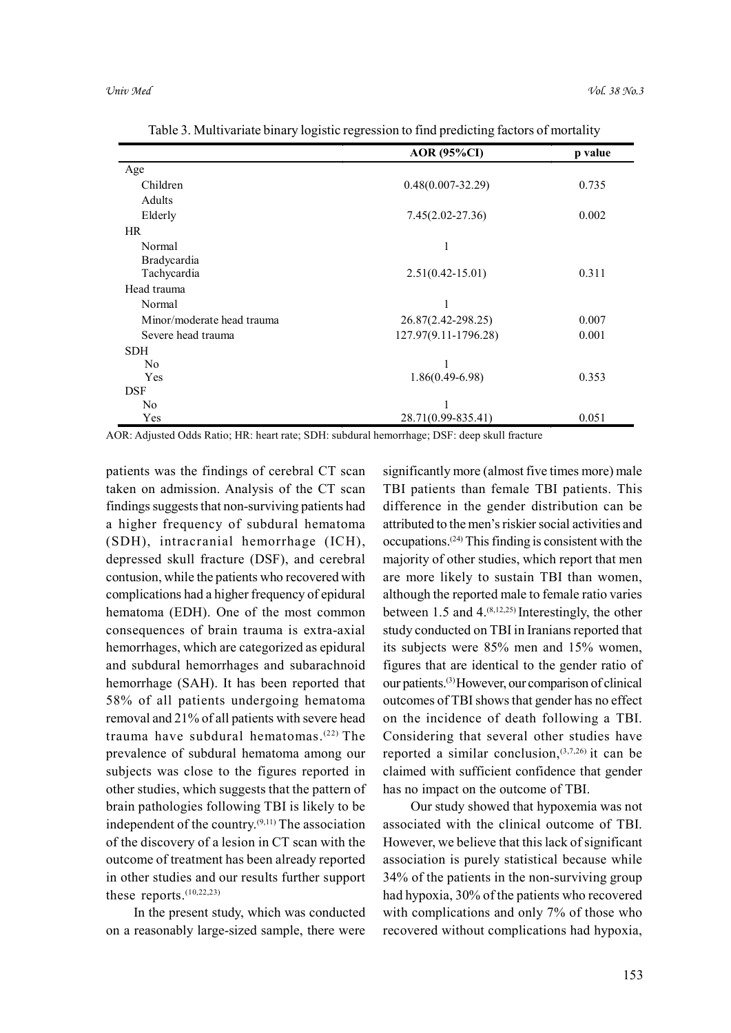|                            | <b>AOR</b> (95%CI)    | p value |
|----------------------------|-----------------------|---------|
| Age                        |                       |         |
| Children                   | $0.48(0.007 - 32.29)$ | 0.735   |
| Adults                     |                       |         |
| Elderly                    | $7.45(2.02 - 27.36)$  | 0.002   |
| HR.                        |                       |         |
| Normal                     | 1                     |         |
| Bradycardia                |                       |         |
| Tachycardia                | $2.51(0.42 - 15.01)$  | 0.311   |
| Head trauma                |                       |         |
| Normal                     |                       |         |
| Minor/moderate head trauma | 26.87(2.42-298.25)    | 0.007   |
| Severe head trauma         | 127.97(9.11-1796.28)  | 0.001   |
| <b>SDH</b>                 |                       |         |
| No.                        |                       |         |
| Yes                        | $1.86(0.49-6.98)$     | 0.353   |
| <b>DSF</b>                 |                       |         |
| No.                        |                       |         |
| Yes                        | 28.71(0.99-835.41)    | 0.051   |

Table 3. Multivariate binary logistic regression to find predicting factors of mortality

AOR: Adjusted Odds Ratio; HR: heart rate; SDH: subdural hemorrhage; DSF: deep skull fracture

patients was the findings of cerebral CT scan taken on admission. Analysis of the CT scan findings suggests that non-surviving patients had a higher frequency of subdural hematoma (SDH), intracranial hemorrhage (ICH), depressed skull fracture (DSF), and cerebral contusion, while the patients who recovered with complications had a higher frequency of epidural hematoma (EDH). One of the most common consequences of brain trauma is extra-axial hemorrhages, which are categorized as epidural and subdural hemorrhages and subarachnoid hemorrhage (SAH). It has been reported that 58% of all patients undergoing hematoma removal and 21% of all patients with severe head trauma have subdural hematomas.(22) The prevalence of subdural hematoma among our subjects was close to the figures reported in other studies, which suggests that the pattern of brain pathologies following TBI is likely to be independent of the country.(9,11) The association of the discovery of a lesion in CT scan with the outcome of treatment has been already reported in other studies and our results further support these reports.<sup>(10,22,23)</sup>

In the present study, which was conducted on a reasonably large-sized sample, there were significantly more (almost five times more) male TBI patients than female TBI patients. This difference in the gender distribution can be attributed to the men's riskier social activities and occupations.(24) This finding is consistent with the majority of other studies, which report that men are more likely to sustain TBI than women, although the reported male to female ratio varies between 1.5 and  $4^{(8,12,25)}$  Interestingly, the other study conducted on TBI in Iranians reported that its subjects were 85% men and 15% women, figures that are identical to the gender ratio of our patients.(3) However, our comparison of clinical outcomes of TBI shows that gender has no effect on the incidence of death following a TBI. Considering that several other studies have reported a similar conclusion, $(3,7,26)$  it can be claimed with sufficient confidence that gender has no impact on the outcome of TBI.

Our study showed that hypoxemia was not associated with the clinical outcome of TBI. However, we believe that this lack of significant association is purely statistical because while 34% of the patients in the non-surviving group had hypoxia, 30% of the patients who recovered with complications and only 7% of those who recovered without complications had hypoxia,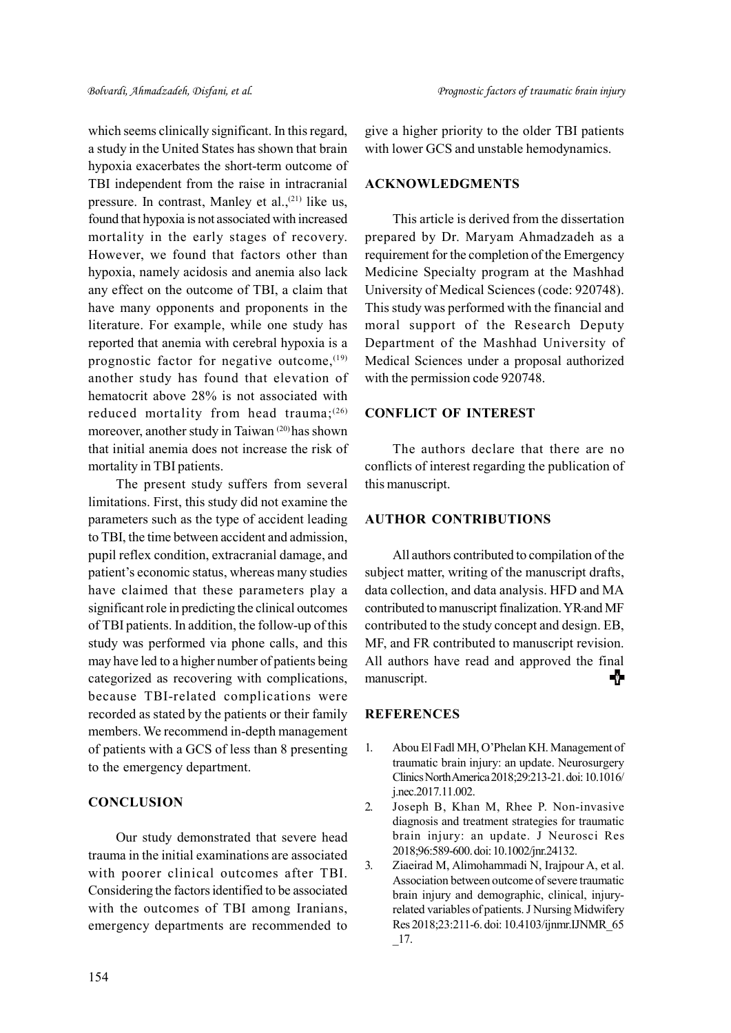which seems clinically significant. In this regard, a study in the United States has shown that brain hypoxia exacerbates the short-term outcome of TBI independent from the raise in intracranial pressure. In contrast, Manley et al.,<sup>(21)</sup> like us, found that hypoxia is not associated with increased mortality in the early stages of recovery. However, we found that factors other than hypoxia, namely acidosis and anemia also lack any effect on the outcome of TBI, a claim that have many opponents and proponents in the literature. For example, while one study has reported that anemia with cerebral hypoxia is a prognostic factor for negative outcome,  $(19)$ another study has found that elevation of hematocrit above 28% is not associated with reduced mortality from head trauma;<sup>(26)</sup> moreover, another study in Taiwan (20) has shown that initial anemia does not increase the risk of mortality in TBI patients.

The present study suffers from several limitations. First, this study did not examine the parameters such as the type of accident leading to TBI, the time between accident and admission, pupil reflex condition, extracranial damage, and patient's economic status, whereas many studies have claimed that these parameters play a significant role in predicting the clinical outcomes of TBI patients. In addition, the follow-up of this study was performed via phone calls, and this may have led to a higher number of patients being categorized as recovering with complications, because TBI-related complications were recorded as stated by the patients or their family members. We recommend in-depth management of patients with a GCS of less than 8 presenting to the emergency department.

## **CONCLUSION**

Our study demonstrated that severe head trauma in the initial examinations are associated with poorer clinical outcomes after TBI. Considering the factors identified to be associated with the outcomes of TBI among Iranians, emergency departments are recommended to

give a higher priority to the older TBI patients with lower GCS and unstable hemodynamics.

### ACKNOWLEDGMENTS

This article is derived from the dissertation prepared by Dr. Maryam Ahmadzadeh as a requirement for the completion of the Emergency Medicine Specialty program at the Mashhad University of Medical Sciences (code: 920748). This study was performed with the financial and moral support of the Research Deputy Department of the Mashhad University of Medical Sciences under a proposal authorized with the permission code 920748.

## CONFLICT OF INTEREST

The authors declare that there are no conflicts of interest regarding the publication of this manuscript.

## AUTHOR CONTRIBUTIONS

All authors contributed to compilation of the subject matter, writing of the manuscript drafts, data collection, and data analysis. HFD and MA contributed to manuscript finalization. YR and MF contributed to the study concept and design. EB, MF, and FR contributed to manuscript revision. All authors have read and approved the final ⋠þ manuscript.

#### **REFERENCES**

- 1. Abou El Fadl MH, O'Phelan KH. Management of traumatic brain injury: an update. Neurosurgery Clinics North America 2018;29:213-21. doi: 10.1016/ j.nec.2017.11.002.
- 2. Joseph B, Khan M, Rhee P. Non-invasive diagnosis and treatment strategies for traumatic brain injury: an update. J Neurosci Res 2018;96:589-600. doi: 10.1002/jnr.24132.
- 3. Ziaeirad M, Alimohammadi N, Irajpour A, et al. Association between outcome of severe traumatic brain injury and demographic, clinical, injuryrelated variables of patients. J Nursing Midwifery Res 2018;23:211-6. doi: 10.4103/ijnmr.IJNMR\_65 \_17.